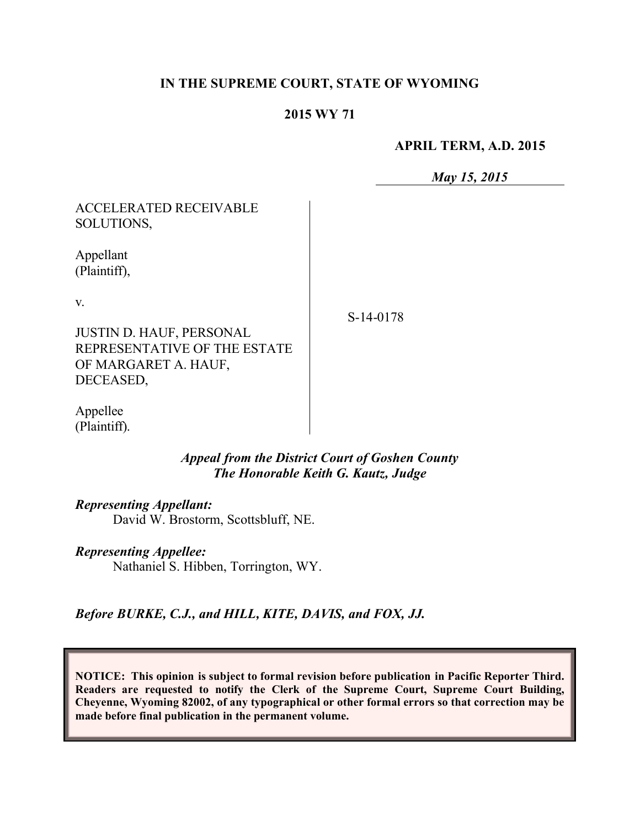### **IN THE SUPREME COURT, STATE OF WYOMING**

#### **2015 WY 71**

#### **APRIL TERM, A.D. 2015**

*May 15, 2015*

| <b>ACCELERATED RECEIVABLE</b><br>SOLUTIONS,                                             |  |
|-----------------------------------------------------------------------------------------|--|
| Appellant<br>(Plaintiff),                                                               |  |
| V.                                                                                      |  |
| <b>JUSTIN D. HAUF, PERSONAL</b><br>REPRESENTATIVE OF THE ESTATE<br>OF MARGARET A. HAUF, |  |

S-14-0178

Appellee (Plaintiff).

DECEASED,

#### *Appeal from the District Court of Goshen County The Honorable Keith G. Kautz, Judge*

*Representing Appellant:*

David W. Brostorm, Scottsbluff, NE.

#### *Representing Appellee:*

Nathaniel S. Hibben, Torrington, WY.

*Before BURKE, C.J., and HILL, KITE, DAVIS, and FOX, JJ.*

**NOTICE: This opinion is subject to formal revision before publication in Pacific Reporter Third. Readers are requested to notify the Clerk of the Supreme Court, Supreme Court Building, Cheyenne, Wyoming 82002, of any typographical or other formal errors so that correction may be made before final publication in the permanent volume.**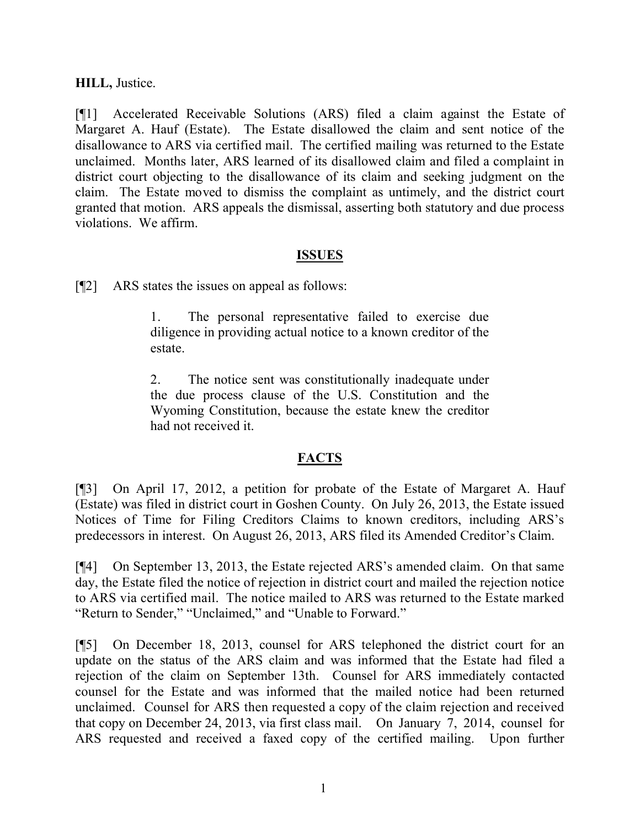## **HILL,** Justice.

[¶1] Accelerated Receivable Solutions (ARS) filed a claim against the Estate of Margaret A. Hauf (Estate). The Estate disallowed the claim and sent notice of the disallowance to ARS via certified mail. The certified mailing was returned to the Estate unclaimed. Months later, ARS learned of its disallowed claim and filed a complaint in district court objecting to the disallowance of its claim and seeking judgment on the claim. The Estate moved to dismiss the complaint as untimely, and the district court granted that motion. ARS appeals the dismissal, asserting both statutory and due process violations. We affirm.

#### **ISSUES**

[¶2] ARS states the issues on appeal as follows:

1. The personal representative failed to exercise due diligence in providing actual notice to a known creditor of the estate.

2. The notice sent was constitutionally inadequate under the due process clause of the U.S. Constitution and the Wyoming Constitution, because the estate knew the creditor had not received it.

## **FACTS**

[¶3] On April 17, 2012, a petition for probate of the Estate of Margaret A. Hauf (Estate) was filed in district court in Goshen County. On July 26, 2013, the Estate issued Notices of Time for Filing Creditors Claims to known creditors, including ARS's predecessors in interest. On August 26, 2013, ARS filed its Amended Creditor's Claim.

[¶4] On September 13, 2013, the Estate rejected ARS's amended claim. On that same day, the Estate filed the notice of rejection in district court and mailed the rejection notice to ARS via certified mail. The notice mailed to ARS was returned to the Estate marked "Return to Sender," "Unclaimed," and "Unable to Forward."

[¶5] On December 18, 2013, counsel for ARS telephoned the district court for an update on the status of the ARS claim and was informed that the Estate had filed a rejection of the claim on September 13th. Counsel for ARS immediately contacted counsel for the Estate and was informed that the mailed notice had been returned unclaimed. Counsel for ARS then requested a copy of the claim rejection and received that copy on December 24, 2013, via first class mail. On January 7, 2014, counsel for ARS requested and received a faxed copy of the certified mailing. Upon further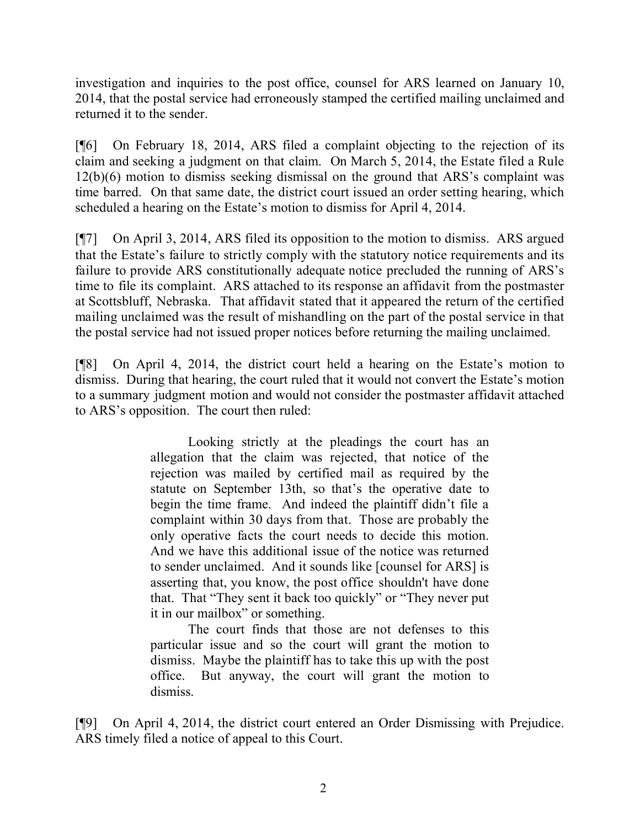investigation and inquiries to the post office, counsel for ARS learned on January 10, 2014, that the postal service had erroneously stamped the certified mailing unclaimed and returned it to the sender.

[¶6] On February 18, 2014, ARS filed a complaint objecting to the rejection of its claim and seeking a judgment on that claim. On March 5, 2014, the Estate filed a Rule 12(b)(6) motion to dismiss seeking dismissal on the ground that ARS's complaint was time barred. On that same date, the district court issued an order setting hearing, which scheduled a hearing on the Estate's motion to dismiss for April 4, 2014.

[¶7] On April 3, 2014, ARS filed its opposition to the motion to dismiss. ARS argued that the Estate's failure to strictly comply with the statutory notice requirements and its failure to provide ARS constitutionally adequate notice precluded the running of ARS's time to file its complaint. ARS attached to its response an affidavit from the postmaster at Scottsbluff, Nebraska. That affidavit stated that it appeared the return of the certified mailing unclaimed was the result of mishandling on the part of the postal service in that the postal service had not issued proper notices before returning the mailing unclaimed.

[¶8] On April 4, 2014, the district court held a hearing on the Estate's motion to dismiss. During that hearing, the court ruled that it would not convert the Estate's motion to a summary judgment motion and would not consider the postmaster affidavit attached to ARS's opposition. The court then ruled:

> Looking strictly at the pleadings the court has an allegation that the claim was rejected, that notice of the rejection was mailed by certified mail as required by the statute on September 13th, so that's the operative date to begin the time frame. And indeed the plaintiff didn't file a complaint within 30 days from that. Those are probably the only operative facts the court needs to decide this motion. And we have this additional issue of the notice was returned to sender unclaimed. And it sounds like [counsel for ARS] is asserting that, you know, the post office shouldn't have done that. That "They sent it back too quickly" or "They never put it in our mailbox" or something.

> The court finds that those are not defenses to this particular issue and so the court will grant the motion to dismiss. Maybe the plaintiff has to take this up with the post office. But anyway, the court will grant the motion to dismiss.

[¶9] On April 4, 2014, the district court entered an Order Dismissing with Prejudice. ARS timely filed a notice of appeal to this Court.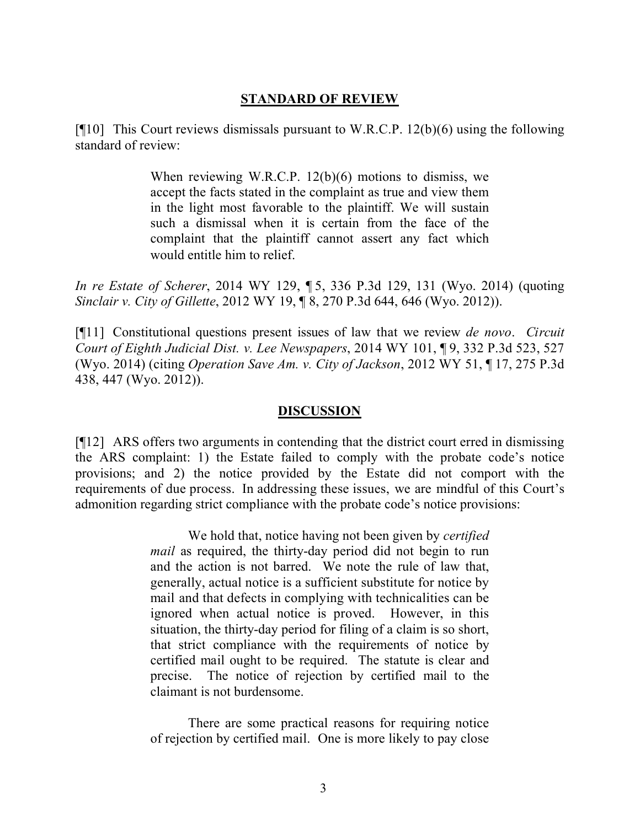## **STANDARD OF REVIEW**

[ $[10]$ ] This Court reviews dismissals pursuant to W.R.C.P. 12(b)(6) using the following standard of review:

> When reviewing W.R.C.P. 12(b)(6) motions to dismiss, we accept the facts stated in the complaint as true and view them in the light most favorable to the plaintiff. We will sustain such a dismissal when it is certain from the face of the complaint that the plaintiff cannot assert any fact which would entitle him to relief.

*In re Estate of Scherer*, 2014 WY 129, ¶ 5, 336 P.3d 129, 131 (Wyo. 2014) (quoting *Sinclair v. City of Gillette*, 2012 WY 19, ¶ 8, 270 P.3d 644, 646 (Wyo. 2012)).

[¶11] Constitutional questions present issues of law that we review *de novo*. *Circuit Court of Eighth Judicial Dist. v. Lee Newspapers*, 2014 WY 101, ¶ 9, 332 P.3d 523, 527 (Wyo. 2014) (citing *Operation Save Am. v. City of Jackson*, 2012 WY 51, ¶ 17, 275 P.3d 438, 447 (Wyo. 2012)).

#### **DISCUSSION**

[¶12] ARS offers two arguments in contending that the district court erred in dismissing the ARS complaint: 1) the Estate failed to comply with the probate code's notice provisions; and 2) the notice provided by the Estate did not comport with the requirements of due process. In addressing these issues, we are mindful of this Court's admonition regarding strict compliance with the probate code's notice provisions:

> We hold that, notice having not been given by *certified mail* as required, the thirty-day period did not begin to run and the action is not barred. We note the rule of law that, generally, actual notice is a sufficient substitute for notice by mail and that defects in complying with technicalities can be ignored when actual notice is proved. However, in this situation, the thirty-day period for filing of a claim is so short, that strict compliance with the requirements of notice by certified mail ought to be required. The statute is clear and precise. The notice of rejection by certified mail to the claimant is not burdensome.

There are some practical reasons for requiring notice of rejection by certified mail. One is more likely to pay close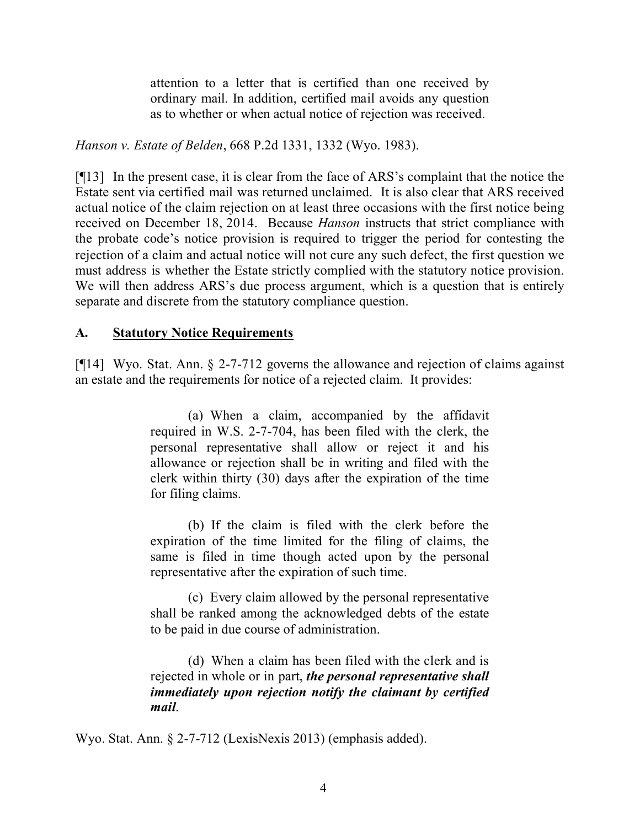attention to a letter that is certified than one received by ordinary mail. In addition, certified mail avoids any question as to whether or when actual notice of rejection was received.

*Hanson v. Estate of Belden*, 668 P.2d 1331, 1332 (Wyo. 1983).

[¶13] In the present case, it is clear from the face of ARS's complaint that the notice the Estate sent via certified mail was returned unclaimed. It is also clear that ARS received actual notice of the claim rejection on at least three occasions with the first notice being received on December 18, 2014. Because *Hanson* instructs that strict compliance with the probate code's notice provision is required to trigger the period for contesting the rejection of a claim and actual notice will not cure any such defect, the first question we must address is whether the Estate strictly complied with the statutory notice provision. We will then address ARS's due process argument, which is a question that is entirely separate and discrete from the statutory compliance question.

## **A. Statutory Notice Requirements**

[¶14] Wyo. Stat. Ann. § 2-7-712 governs the allowance and rejection of claims against an estate and the requirements for notice of a rejected claim. It provides:

> (a) When a claim, accompanied by the affidavit required in W.S. 2-7-704, has been filed with the clerk, the personal representative shall allow or reject it and his allowance or rejection shall be in writing and filed with the clerk within thirty (30) days after the expiration of the time for filing claims.

> (b) If the claim is filed with the clerk before the expiration of the time limited for the filing of claims, the same is filed in time though acted upon by the personal representative after the expiration of such time.

> (c) Every claim allowed by the personal representative shall be ranked among the acknowledged debts of the estate to be paid in due course of administration.

> (d) When a claim has been filed with the clerk and is rejected in whole or in part, *the personal representative shall immediately upon rejection notify the claimant by certified mail*.

Wyo. Stat. Ann. § 2-7-712 (LexisNexis 2013) (emphasis added).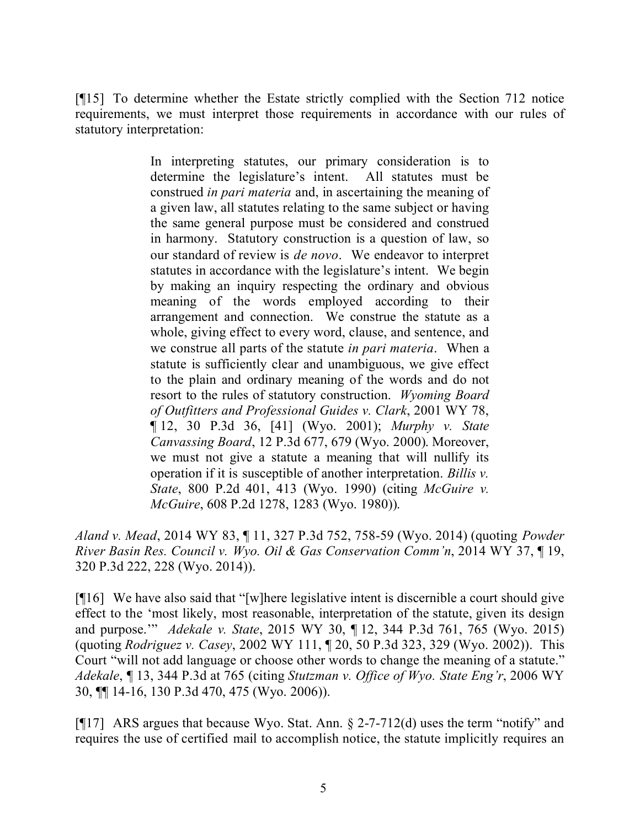[¶15] To determine whether the Estate strictly complied with the Section 712 notice requirements, we must interpret those requirements in accordance with our rules of statutory interpretation:

> In interpreting statutes, our primary consideration is to determine the legislature's intent. All statutes must be construed *in pari materia* and, in ascertaining the meaning of a given law, all statutes relating to the same subject or having the same general purpose must be considered and construed in harmony. Statutory construction is a question of law, so our standard of review is *de novo*. We endeavor to interpret statutes in accordance with the legislature's intent. We begin by making an inquiry respecting the ordinary and obvious meaning of the words employed according to their arrangement and connection. We construe the statute as a whole, giving effect to every word, clause, and sentence, and we construe all parts of the statute *in pari materia*. When a statute is sufficiently clear and unambiguous, we give effect to the plain and ordinary meaning of the words and do not resort to the rules of statutory construction. *Wyoming Board of Outfitters and Professional Guides v. Clark*, 2001 WY 78, ¶ 12, 30 P.3d 36, [41] (Wyo. 2001); *Murphy v. State Canvassing Board*, 12 P.3d 677, 679 (Wyo. 2000). Moreover, we must not give a statute a meaning that will nullify its operation if it is susceptible of another interpretation. *Billis v. State*, 800 P.2d 401, 413 (Wyo. 1990) (citing *McGuire v. McGuire*, 608 P.2d 1278, 1283 (Wyo. 1980)).

*Aland v. Mead*, 2014 WY 83, ¶ 11, 327 P.3d 752, 758-59 (Wyo. 2014) (quoting *Powder River Basin Res. Council v. Wyo. Oil & Gas Conservation Comm'n*, 2014 WY 37, ¶ 19, 320 P.3d 222, 228 (Wyo. 2014)).

[¶16] We have also said that "[w]here legislative intent is discernible a court should give effect to the 'most likely, most reasonable, interpretation of the statute, given its design and purpose.'" *Adekale v. State*, 2015 WY 30, ¶ 12, 344 P.3d 761, 765 (Wyo. 2015) (quoting *Rodriguez v. Casey*, 2002 WY 111, ¶ 20, 50 P.3d 323, 329 (Wyo. 2002)). This Court "will not add language or choose other words to change the meaning of a statute." *Adekale*, ¶ 13, 344 P.3d at 765 (citing *Stutzman v. Office of Wyo. State Eng'r*, 2006 WY 30, ¶¶ 14-16, 130 P.3d 470, 475 (Wyo. 2006)).

[¶17] ARS argues that because Wyo. Stat. Ann. § 2-7-712(d) uses the term "notify" and requires the use of certified mail to accomplish notice, the statute implicitly requires an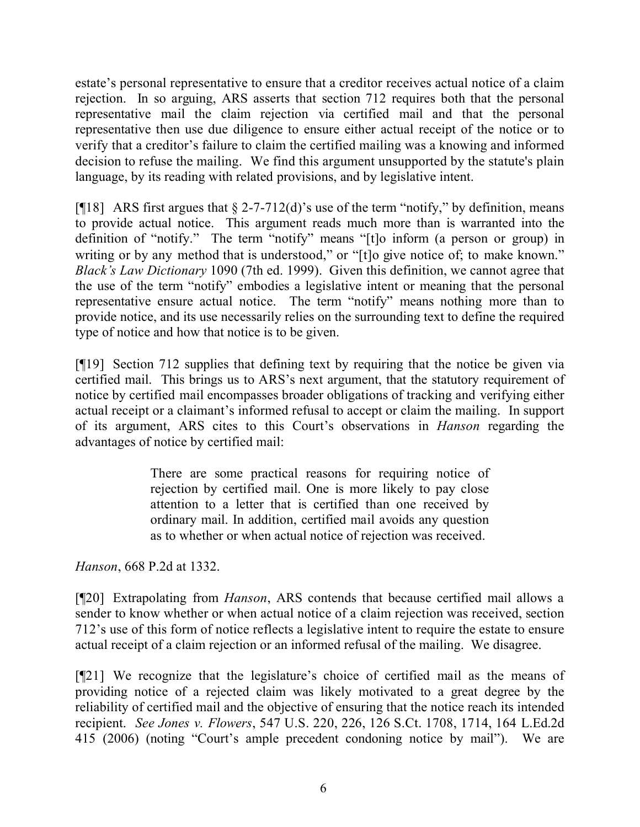estate's personal representative to ensure that a creditor receives actual notice of a claim rejection. In so arguing, ARS asserts that section 712 requires both that the personal representative mail the claim rejection via certified mail and that the personal representative then use due diligence to ensure either actual receipt of the notice or to verify that a creditor's failure to claim the certified mailing was a knowing and informed decision to refuse the mailing. We find this argument unsupported by the statute's plain language, by its reading with related provisions, and by legislative intent.

[ $[18]$  ARS first argues that  $\S$  2-7-712(d)'s use of the term "notify," by definition, means to provide actual notice. This argument reads much more than is warranted into the definition of "notify." The term "notify" means "[t]o inform (a person or group) in writing or by any method that is understood," or "[t]o give notice of; to make known." *Black's Law Dictionary* 1090 (7th ed. 1999). Given this definition, we cannot agree that the use of the term "notify" embodies a legislative intent or meaning that the personal representative ensure actual notice. The term "notify" means nothing more than to provide notice, and its use necessarily relies on the surrounding text to define the required type of notice and how that notice is to be given.

[¶19] Section 712 supplies that defining text by requiring that the notice be given via certified mail. This brings us to ARS's next argument, that the statutory requirement of notice by certified mail encompasses broader obligations of tracking and verifying either actual receipt or a claimant's informed refusal to accept or claim the mailing. In support of its argument, ARS cites to this Court's observations in *Hanson* regarding the advantages of notice by certified mail:

> There are some practical reasons for requiring notice of rejection by certified mail. One is more likely to pay close attention to a letter that is certified than one received by ordinary mail. In addition, certified mail avoids any question as to whether or when actual notice of rejection was received.

*Hanson*, 668 P.2d at 1332.

[¶20] Extrapolating from *Hanson*, ARS contends that because certified mail allows a sender to know whether or when actual notice of a claim rejection was received, section 712's use of this form of notice reflects a legislative intent to require the estate to ensure actual receipt of a claim rejection or an informed refusal of the mailing. We disagree.

[¶21] We recognize that the legislature's choice of certified mail as the means of providing notice of a rejected claim was likely motivated to a great degree by the reliability of certified mail and the objective of ensuring that the notice reach its intended recipient. *See Jones v. Flowers*, 547 U.S. 220, 226, 126 S.Ct. 1708, 1714, 164 L.Ed.2d 415 (2006) (noting "Court's ample precedent condoning notice by mail"). We are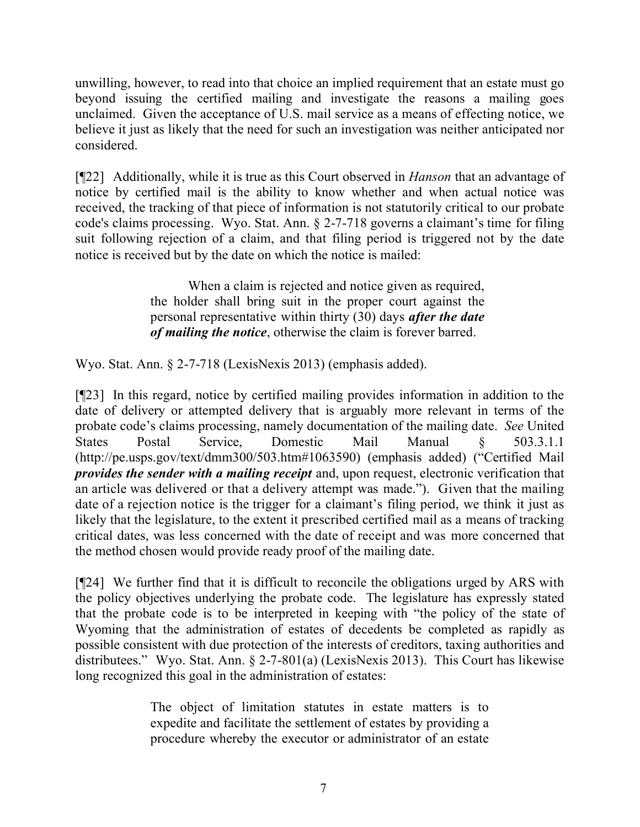unwilling, however, to read into that choice an implied requirement that an estate must go beyond issuing the certified mailing and investigate the reasons a mailing goes unclaimed. Given the acceptance of U.S. mail service as a means of effecting notice, we believe it just as likely that the need for such an investigation was neither anticipated nor considered.

[¶22] Additionally, while it is true as this Court observed in *Hanson* that an advantage of notice by certified mail is the ability to know whether and when actual notice was received, the tracking of that piece of information is not statutorily critical to our probate code's claims processing. Wyo. Stat. Ann. § 2-7-718 governs a claimant's time for filing suit following rejection of a claim, and that filing period is triggered not by the date notice is received but by the date on which the notice is mailed:

> When a claim is rejected and notice given as required, the holder shall bring suit in the proper court against the personal representative within thirty (30) days *after the date of mailing the notice*, otherwise the claim is forever barred.

Wyo. Stat. Ann. § 2-7-718 (LexisNexis 2013) (emphasis added).

[¶23] In this regard, notice by certified mailing provides information in addition to the date of delivery or attempted delivery that is arguably more relevant in terms of the probate code's claims processing, namely documentation of the mailing date. *See* United States Postal Service, Domestic Mail Manual § 503.3.1.1 (http://pe.usps.gov/text/dmm300/503.htm#1063590) (emphasis added) ("Certified Mail *provides the sender with a mailing receipt* and, upon request, electronic verification that an article was delivered or that a delivery attempt was made."). Given that the mailing date of a rejection notice is the trigger for a claimant's filing period, we think it just as likely that the legislature, to the extent it prescribed certified mail as a means of tracking critical dates, was less concerned with the date of receipt and was more concerned that the method chosen would provide ready proof of the mailing date.

[¶24] We further find that it is difficult to reconcile the obligations urged by ARS with the policy objectives underlying the probate code. The legislature has expressly stated that the probate code is to be interpreted in keeping with "the policy of the state of Wyoming that the administration of estates of decedents be completed as rapidly as possible consistent with due protection of the interests of creditors, taxing authorities and distributees." Wyo. Stat. Ann. § 2-7-801(a) (LexisNexis 2013). This Court has likewise long recognized this goal in the administration of estates:

> The object of limitation statutes in estate matters is to expedite and facilitate the settlement of estates by providing a procedure whereby the executor or administrator of an estate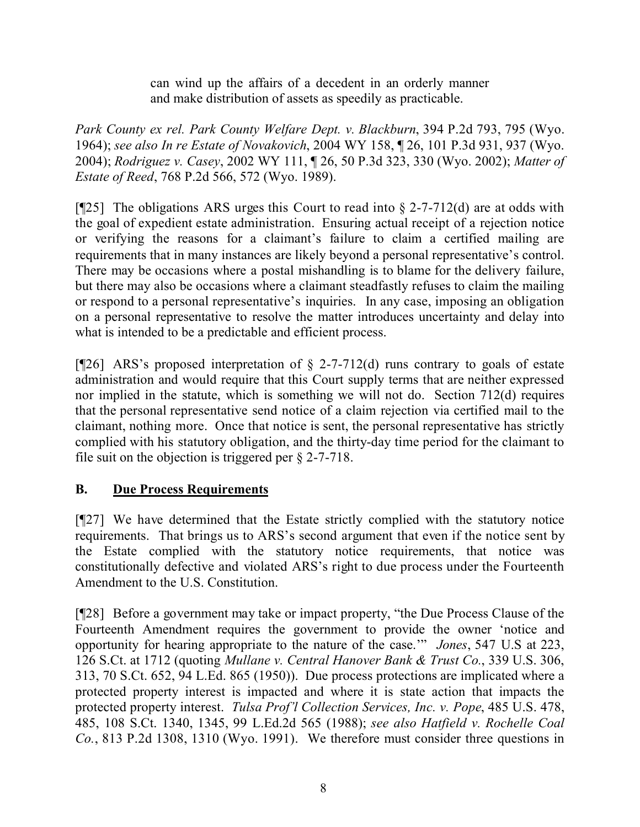can wind up the affairs of a decedent in an orderly manner and make distribution of assets as speedily as practicable.

*Park County ex rel. Park County Welfare Dept. v. Blackburn*, 394 P.2d 793, 795 (Wyo. 1964); *see also In re Estate of Novakovich*, 2004 WY 158, ¶ 26, 101 P.3d 931, 937 (Wyo. 2004); *Rodriguez v. Casey*, 2002 WY 111, ¶ 26, 50 P.3d 323, 330 (Wyo. 2002); *Matter of Estate of Reed*, 768 P.2d 566, 572 (Wyo. 1989).

[ $[25]$ ] The obligations ARS urges this Court to read into § 2-7-712(d) are at odds with the goal of expedient estate administration. Ensuring actual receipt of a rejection notice or verifying the reasons for a claimant's failure to claim a certified mailing are requirements that in many instances are likely beyond a personal representative's control. There may be occasions where a postal mishandling is to blame for the delivery failure, but there may also be occasions where a claimant steadfastly refuses to claim the mailing or respond to a personal representative's inquiries. In any case, imposing an obligation on a personal representative to resolve the matter introduces uncertainty and delay into what is intended to be a predictable and efficient process.

[ $[26]$  ARS's proposed interpretation of  $\S$  2-7-712(d) runs contrary to goals of estate administration and would require that this Court supply terms that are neither expressed nor implied in the statute, which is something we will not do. Section 712(d) requires that the personal representative send notice of a claim rejection via certified mail to the claimant, nothing more. Once that notice is sent, the personal representative has strictly complied with his statutory obligation, and the thirty-day time period for the claimant to file suit on the objection is triggered per § 2-7-718.

# **B. Due Process Requirements**

[¶27] We have determined that the Estate strictly complied with the statutory notice requirements. That brings us to ARS's second argument that even if the notice sent by the Estate complied with the statutory notice requirements, that notice was constitutionally defective and violated ARS's right to due process under the Fourteenth Amendment to the U.S. Constitution.

[¶28] Before a government may take or impact property, "the Due Process Clause of the Fourteenth Amendment requires the government to provide the owner 'notice and opportunity for hearing appropriate to the nature of the case.'" *Jones*, 547 U.S at 223, 126 S.Ct. at 1712 (quoting *Mullane v. Central Hanover Bank & Trust Co.*, 339 U.S. 306, 313, 70 S.Ct. 652, 94 L.Ed. 865 (1950)). Due process protections are implicated where a protected property interest is impacted and where it is state action that impacts the protected property interest. *Tulsa Prof'l Collection Services, Inc. v. Pope*, 485 U.S. 478, 485, 108 S.Ct. 1340, 1345, 99 L.Ed.2d 565 (1988); *see also Hatfield v. Rochelle Coal Co.*, 813 P.2d 1308, 1310 (Wyo. 1991). We therefore must consider three questions in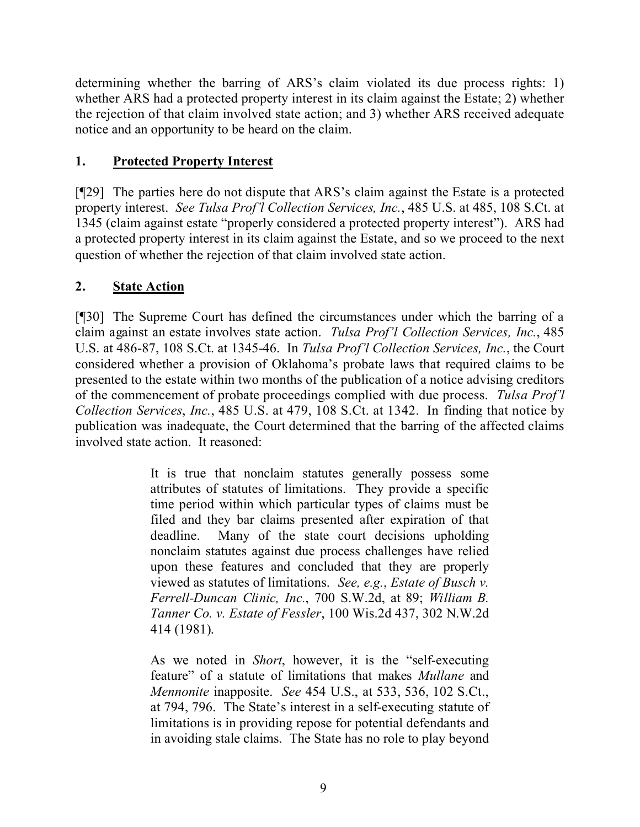determining whether the barring of ARS's claim violated its due process rights: 1) whether ARS had a protected property interest in its claim against the Estate; 2) whether the rejection of that claim involved state action; and 3) whether ARS received adequate notice and an opportunity to be heard on the claim.

## **1. Protected Property Interest**

[¶29] The parties here do not dispute that ARS's claim against the Estate is a protected property interest. *See Tulsa Prof'l Collection Services, Inc.*, 485 U.S. at 485, 108 S.Ct. at 1345 (claim against estate "properly considered a protected property interest"). ARS had a protected property interest in its claim against the Estate, and so we proceed to the next question of whether the rejection of that claim involved state action.

## **2. State Action**

[¶30] The Supreme Court has defined the circumstances under which the barring of a claim against an estate involves state action. *Tulsa Prof'l Collection Services, Inc.*, 485 U.S. at 486-87, 108 S.Ct. at 1345-46. In *Tulsa Prof'l Collection Services, Inc.*, the Court considered whether a provision of Oklahoma's probate laws that required claims to be presented to the estate within two months of the publication of a notice advising creditors of the commencement of probate proceedings complied with due process. *Tulsa Prof'l Collection Services*, *Inc.*, 485 U.S. at 479, 108 S.Ct. at 1342. In finding that notice by publication was inadequate, the Court determined that the barring of the affected claims involved state action. It reasoned:

> It is true that nonclaim statutes generally possess some attributes of statutes of limitations. They provide a specific time period within which particular types of claims must be filed and they bar claims presented after expiration of that deadline. Many of the state court decisions upholding nonclaim statutes against due process challenges have relied upon these features and concluded that they are properly viewed as statutes of limitations. *See, e.g.*, *Estate of Busch v. Ferrell-Duncan Clinic, Inc.*, 700 S.W.2d, at 89; *William B. Tanner Co. v. Estate of Fessler*, 100 Wis.2d 437, 302 N.W.2d 414 (1981).

> As we noted in *Short*, however, it is the "self-executing feature" of a statute of limitations that makes *Mullane* and *Mennonite* inapposite. *See* 454 U.S., at 533, 536, 102 S.Ct., at 794, 796. The State's interest in a self-executing statute of limitations is in providing repose for potential defendants and in avoiding stale claims. The State has no role to play beyond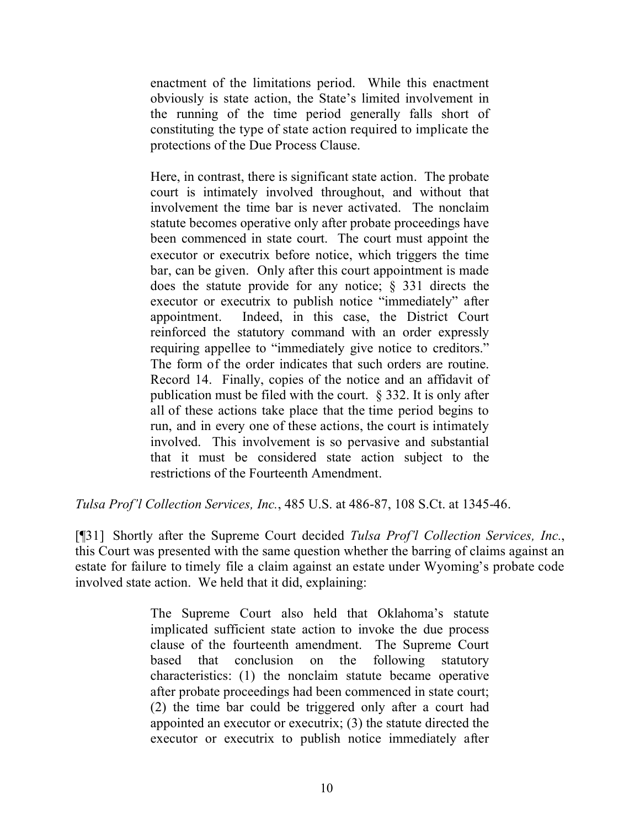enactment of the limitations period. While this enactment obviously is state action, the State's limited involvement in the running of the time period generally falls short of constituting the type of state action required to implicate the protections of the Due Process Clause.

Here, in contrast, there is significant state action. The probate court is intimately involved throughout, and without that involvement the time bar is never activated. The nonclaim statute becomes operative only after probate proceedings have been commenced in state court. The court must appoint the executor or executrix before notice, which triggers the time bar, can be given. Only after this court appointment is made does the statute provide for any notice; § 331 directs the executor or executrix to publish notice "immediately" after appointment. Indeed, in this case, the District Court reinforced the statutory command with an order expressly requiring appellee to "immediately give notice to creditors." The form of the order indicates that such orders are routine. Record 14. Finally, copies of the notice and an affidavit of publication must be filed with the court. § 332. It is only after all of these actions take place that the time period begins to run, and in every one of these actions, the court is intimately involved. This involvement is so pervasive and substantial that it must be considered state action subject to the restrictions of the Fourteenth Amendment.

*Tulsa Prof'l Collection Services, Inc.*, 485 U.S. at 486-87, 108 S.Ct. at 1345-46.

[¶31] Shortly after the Supreme Court decided *Tulsa Prof'l Collection Services, Inc.*, this Court was presented with the same question whether the barring of claims against an estate for failure to timely file a claim against an estate under Wyoming's probate code involved state action. We held that it did, explaining:

> The Supreme Court also held that Oklahoma's statute implicated sufficient state action to invoke the due process clause of the fourteenth amendment. The Supreme Court based that conclusion on the following statutory characteristics: (1) the nonclaim statute became operative after probate proceedings had been commenced in state court; (2) the time bar could be triggered only after a court had appointed an executor or executrix; (3) the statute directed the executor or executrix to publish notice immediately after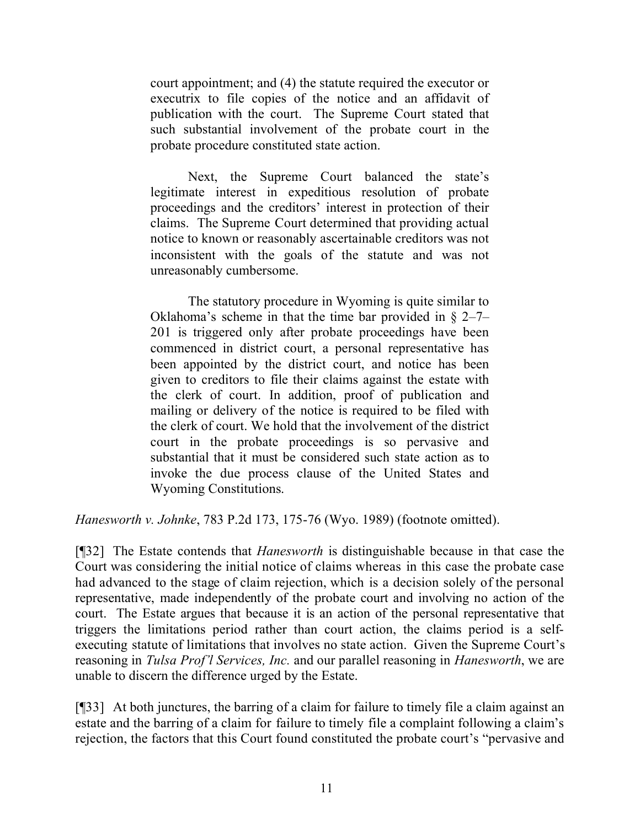court appointment; and (4) the statute required the executor or executrix to file copies of the notice and an affidavit of publication with the court. The Supreme Court stated that such substantial involvement of the probate court in the probate procedure constituted state action.

Next, the Supreme Court balanced the state's legitimate interest in expeditious resolution of probate proceedings and the creditors' interest in protection of their claims. The Supreme Court determined that providing actual notice to known or reasonably ascertainable creditors was not inconsistent with the goals of the statute and was not unreasonably cumbersome.

The statutory procedure in Wyoming is quite similar to Oklahoma's scheme in that the time bar provided in  $\S$  2–7– 201 is triggered only after probate proceedings have been commenced in district court, a personal representative has been appointed by the district court, and notice has been given to creditors to file their claims against the estate with the clerk of court. In addition, proof of publication and mailing or delivery of the notice is required to be filed with the clerk of court. We hold that the involvement of the district court in the probate proceedings is so pervasive and substantial that it must be considered such state action as to invoke the due process clause of the United States and Wyoming Constitutions.

*Hanesworth v. Johnke*, 783 P.2d 173, 175-76 (Wyo. 1989) (footnote omitted).

[¶32] The Estate contends that *Hanesworth* is distinguishable because in that case the Court was considering the initial notice of claims whereas in this case the probate case had advanced to the stage of claim rejection, which is a decision solely of the personal representative, made independently of the probate court and involving no action of the court. The Estate argues that because it is an action of the personal representative that triggers the limitations period rather than court action, the claims period is a selfexecuting statute of limitations that involves no state action. Given the Supreme Court's reasoning in *Tulsa Prof'l Services, Inc.* and our parallel reasoning in *Hanesworth*, we are unable to discern the difference urged by the Estate.

[¶33] At both junctures, the barring of a claim for failure to timely file a claim against an estate and the barring of a claim for failure to timely file a complaint following a claim's rejection, the factors that this Court found constituted the probate court's "pervasive and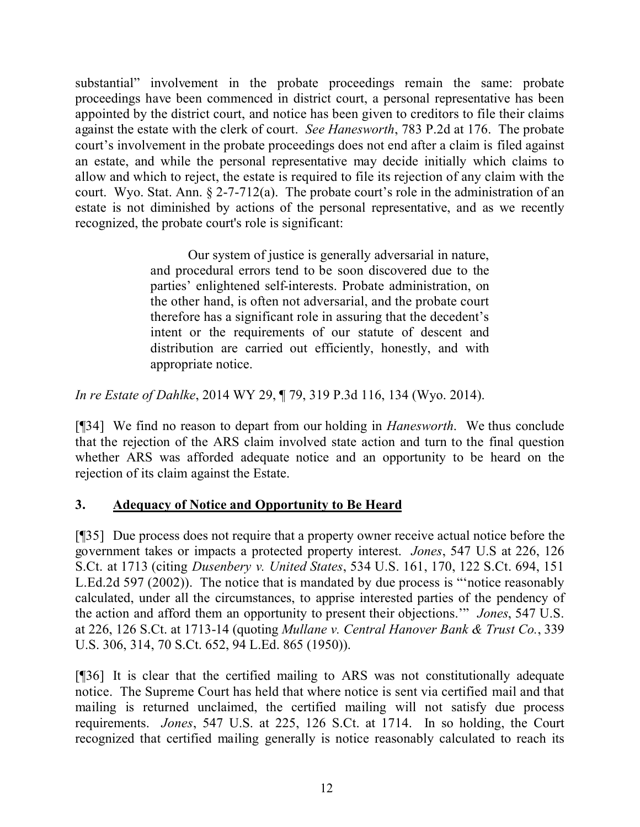substantial" involvement in the probate proceedings remain the same: probate proceedings have been commenced in district court, a personal representative has been appointed by the district court, and notice has been given to creditors to file their claims against the estate with the clerk of court. *See Hanesworth*, 783 P.2d at 176. The probate court's involvement in the probate proceedings does not end after a claim is filed against an estate, and while the personal representative may decide initially which claims to allow and which to reject, the estate is required to file its rejection of any claim with the court. Wyo. Stat. Ann. § 2-7-712(a). The probate court's role in the administration of an estate is not diminished by actions of the personal representative, and as we recently recognized, the probate court's role is significant:

> Our system of justice is generally adversarial in nature, and procedural errors tend to be soon discovered due to the parties' enlightened self-interests. Probate administration, on the other hand, is often not adversarial, and the probate court therefore has a significant role in assuring that the decedent's intent or the requirements of our statute of descent and distribution are carried out efficiently, honestly, and with appropriate notice.

*In re Estate of Dahlke*, 2014 WY 29, ¶ 79, 319 P.3d 116, 134 (Wyo. 2014).

[¶34] We find no reason to depart from our holding in *Hanesworth*. We thus conclude that the rejection of the ARS claim involved state action and turn to the final question whether ARS was afforded adequate notice and an opportunity to be heard on the rejection of its claim against the Estate.

## **3. Adequacy of Notice and Opportunity to Be Heard**

[¶35] Due process does not require that a property owner receive actual notice before the government takes or impacts a protected property interest. *Jones*, 547 U.S at 226, 126 S.Ct. at 1713 (citing *Dusenbery v. United States*, 534 U.S. 161, 170, 122 S.Ct. 694, 151 L.Ed.2d 597 (2002)). The notice that is mandated by due process is "'notice reasonably calculated, under all the circumstances, to apprise interested parties of the pendency of the action and afford them an opportunity to present their objections.'" *Jones*, 547 U.S. at 226, 126 S.Ct. at 1713-14 (quoting *Mullane v. Central Hanover Bank & Trust Co.*, 339 U.S. 306, 314, 70 S.Ct. 652, 94 L.Ed. 865 (1950)).

[¶36] It is clear that the certified mailing to ARS was not constitutionally adequate notice. The Supreme Court has held that where notice is sent via certified mail and that mailing is returned unclaimed, the certified mailing will not satisfy due process requirements. *Jones*, 547 U.S. at 225, 126 S.Ct. at 1714. In so holding, the Court recognized that certified mailing generally is notice reasonably calculated to reach its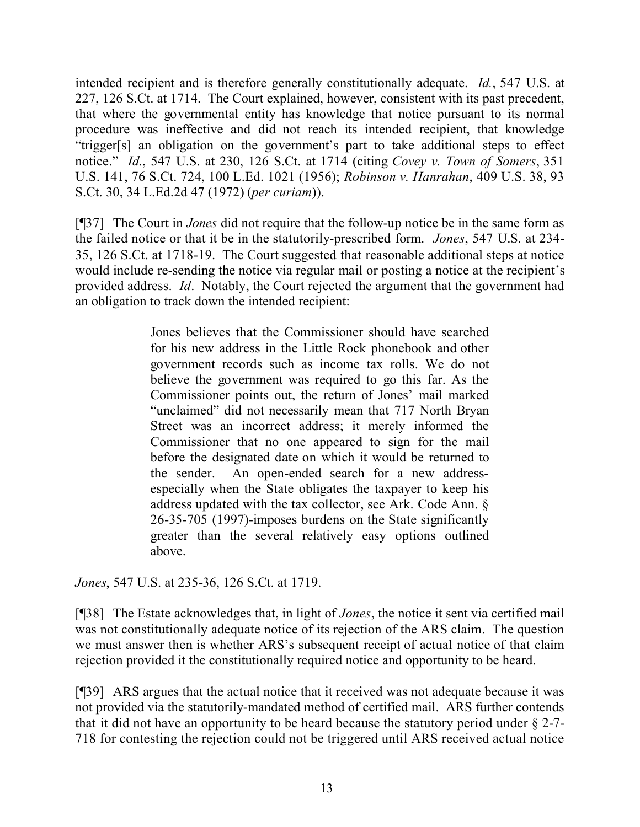intended recipient and is therefore generally constitutionally adequate. *Id.*, 547 U.S. at 227, 126 S.Ct. at 1714. The Court explained, however, consistent with its past precedent, that where the governmental entity has knowledge that notice pursuant to its normal procedure was ineffective and did not reach its intended recipient, that knowledge "trigger[s] an obligation on the government's part to take additional steps to effect notice." *Id.*, 547 U.S. at 230, 126 S.Ct. at 1714 (citing *Covey v. Town of Somers*, 351 U.S. 141, 76 S.Ct. 724, 100 L.Ed. 1021 (1956); *Robinson v. Hanrahan*, 409 U.S. 38, 93 S.Ct. 30, 34 L.Ed.2d 47 (1972) (*per curiam*)).

[¶37] The Court in *Jones* did not require that the follow-up notice be in the same form as the failed notice or that it be in the statutorily-prescribed form. *Jones*, 547 U.S. at 234- 35, 126 S.Ct. at 1718-19. The Court suggested that reasonable additional steps at notice would include re-sending the notice via regular mail or posting a notice at the recipient's provided address. *Id*. Notably, the Court rejected the argument that the government had an obligation to track down the intended recipient:

> Jones believes that the Commissioner should have searched for his new address in the Little Rock phonebook and other government records such as income tax rolls. We do not believe the government was required to go this far. As the Commissioner points out, the return of Jones' mail marked "unclaimed" did not necessarily mean that 717 North Bryan Street was an incorrect address; it merely informed the Commissioner that no one appeared to sign for the mail before the designated date on which it would be returned to the sender. An open-ended search for a new addressespecially when the State obligates the taxpayer to keep his address updated with the tax collector, see Ark. Code Ann. § 26-35-705 (1997)-imposes burdens on the State significantly greater than the several relatively easy options outlined above.

*Jones*, 547 U.S. at 235-36, 126 S.Ct. at 1719.

[¶38] The Estate acknowledges that, in light of *Jones*, the notice it sent via certified mail was not constitutionally adequate notice of its rejection of the ARS claim. The question we must answer then is whether ARS's subsequent receipt of actual notice of that claim rejection provided it the constitutionally required notice and opportunity to be heard.

[¶39] ARS argues that the actual notice that it received was not adequate because it was not provided via the statutorily-mandated method of certified mail. ARS further contends that it did not have an opportunity to be heard because the statutory period under § 2-7- 718 for contesting the rejection could not be triggered until ARS received actual notice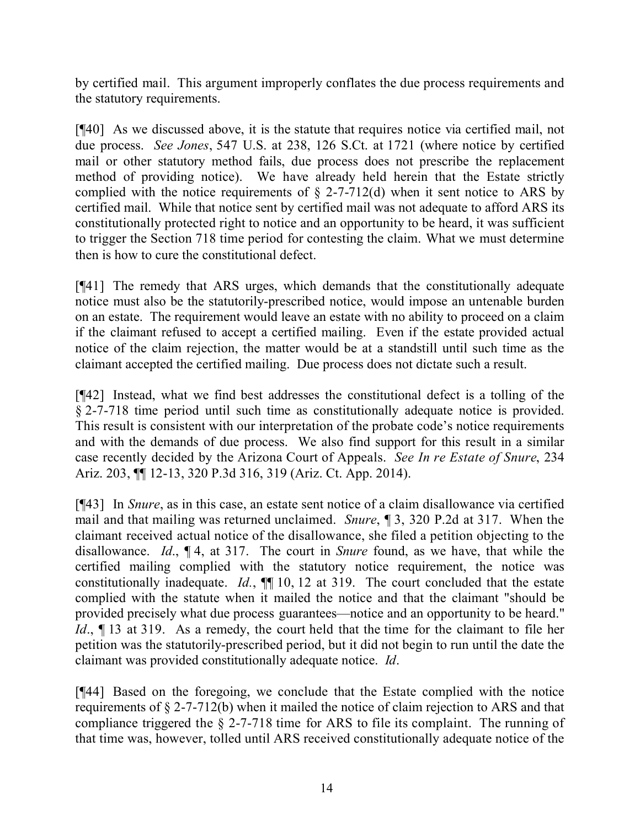by certified mail. This argument improperly conflates the due process requirements and the statutory requirements.

[¶40] As we discussed above, it is the statute that requires notice via certified mail, not due process. *See Jones*, 547 U.S. at 238, 126 S.Ct. at 1721 (where notice by certified mail or other statutory method fails, due process does not prescribe the replacement method of providing notice). We have already held herein that the Estate strictly complied with the notice requirements of  $\S$  2-7-712(d) when it sent notice to ARS by certified mail. While that notice sent by certified mail was not adequate to afford ARS its constitutionally protected right to notice and an opportunity to be heard, it was sufficient to trigger the Section 718 time period for contesting the claim. What we must determine then is how to cure the constitutional defect.

[¶41] The remedy that ARS urges, which demands that the constitutionally adequate notice must also be the statutorily-prescribed notice, would impose an untenable burden on an estate. The requirement would leave an estate with no ability to proceed on a claim if the claimant refused to accept a certified mailing. Even if the estate provided actual notice of the claim rejection, the matter would be at a standstill until such time as the claimant accepted the certified mailing. Due process does not dictate such a result.

[¶42] Instead, what we find best addresses the constitutional defect is a tolling of the § 2-7-718 time period until such time as constitutionally adequate notice is provided. This result is consistent with our interpretation of the probate code's notice requirements and with the demands of due process. We also find support for this result in a similar case recently decided by the Arizona Court of Appeals. *See In re Estate of Snure*, 234 Ariz. 203, ¶¶ 12-13, 320 P.3d 316, 319 (Ariz. Ct. App. 2014).

[¶43] In *Snure*, as in this case, an estate sent notice of a claim disallowance via certified mail and that mailing was returned unclaimed. *Snure*, ¶ 3, 320 P.2d at 317. When the claimant received actual notice of the disallowance, she filed a petition objecting to the disallowance. *Id*., ¶ 4, at 317. The court in *Snure* found, as we have, that while the certified mailing complied with the statutory notice requirement, the notice was constitutionally inadequate. *Id.*, ¶¶ 10, 12 at 319. The court concluded that the estate complied with the statute when it mailed the notice and that the claimant "should be provided precisely what due process guarantees—notice and an opportunity to be heard." *Id.*,  $\P$  13 at 319. As a remedy, the court held that the time for the claimant to file her petition was the statutorily-prescribed period, but it did not begin to run until the date the claimant was provided constitutionally adequate notice. *Id*.

[¶44] Based on the foregoing, we conclude that the Estate complied with the notice requirements of § 2-7-712(b) when it mailed the notice of claim rejection to ARS and that compliance triggered the § 2-7-718 time for ARS to file its complaint. The running of that time was, however, tolled until ARS received constitutionally adequate notice of the